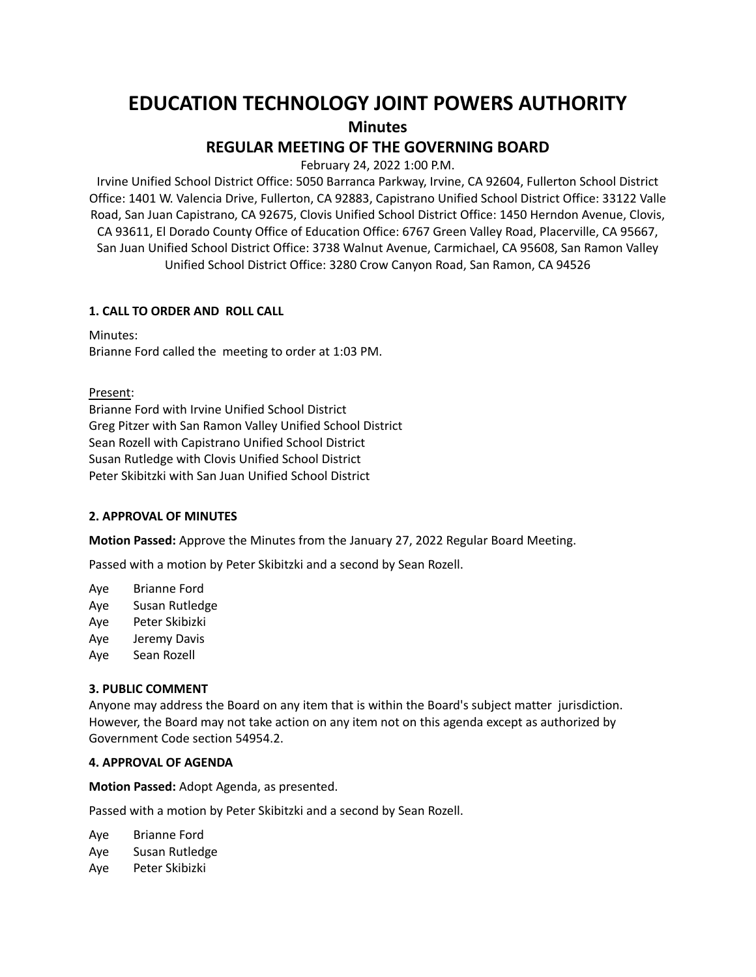# **EDUCATION TECHNOLOGY JOINT POWERS AUTHORITY**

**Minutes**

## **REGULAR MEETING OF THE GOVERNING BOARD**

February 24, 2022 1:00 P.M.

Irvine Unified School District Office: 5050 Barranca Parkway, Irvine, CA 92604, Fullerton School District Office: 1401 W. Valencia Drive, Fullerton, CA 92883, Capistrano Unified School District Office: 33122 Valle Road, San Juan Capistrano, CA 92675, Clovis Unified School District Office: 1450 Herndon Avenue, Clovis, CA 93611, El Dorado County Office of Education Office: 6767 Green Valley Road, Placerville, CA 95667, San Juan Unified School District Office: 3738 Walnut Avenue, Carmichael, CA 95608, San Ramon Valley Unified School District Office: 3280 Crow Canyon Road, San Ramon, CA 94526

## **1. CALL TO ORDER AND ROLL CALL**

Minutes: Brianne Ford called the meeting to order at 1:03 PM.

Present:

Brianne Ford with Irvine Unified School District Greg Pitzer with San Ramon Valley Unified School District Sean Rozell with Capistrano Unified School District Susan Rutledge with Clovis Unified School District Peter Skibitzki with San Juan Unified School District

## **2. APPROVAL OF MINUTES**

**Motion Passed:** Approve the Minutes from the January 27, 2022 Regular Board Meeting.

Passed with a motion by Peter Skibitzki and a second by Sean Rozell.

Aye Brianne Ford

Aye Susan Rutledge

Aye Peter Skibizki

Aye Jeremy Davis

Aye Sean Rozell

## **3. PUBLIC COMMENT**

Anyone may address the Board on any item that is within the Board's subject matter jurisdiction. However, the Board may not take action on any item not on this agenda except as authorized by Government Code section 54954.2.

## **4. APPROVAL OF AGENDA**

**Motion Passed:** Adopt Agenda, as presented.

Passed with a motion by Peter Skibitzki and a second by Sean Rozell.

Aye Brianne Ford Aye Susan Rutledge Aye Peter Skibizki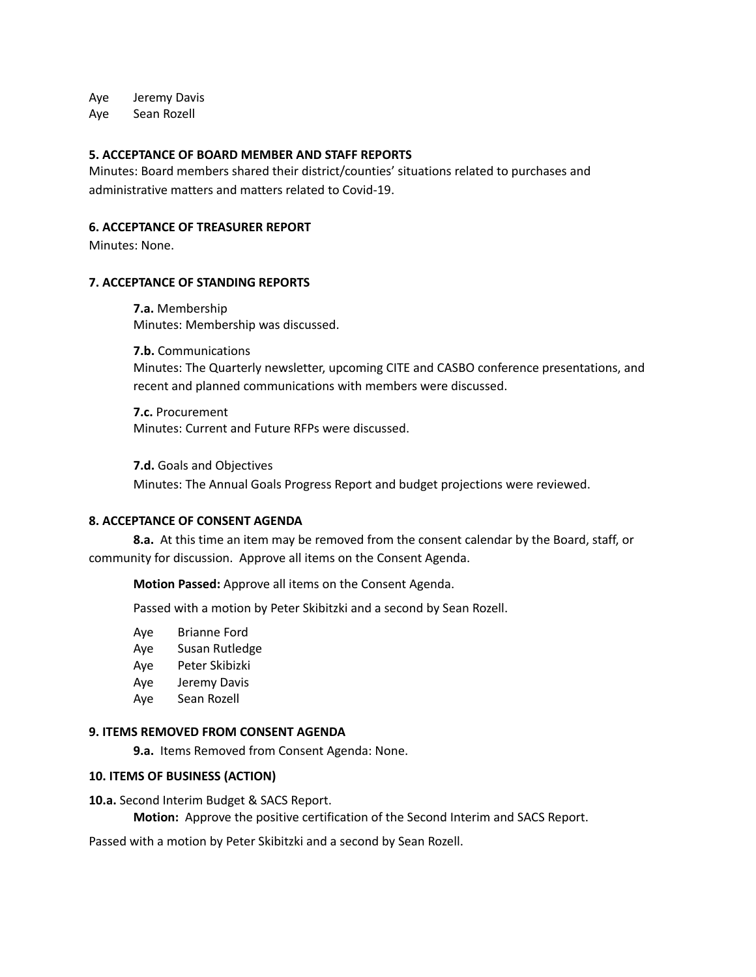Aye Jeremy Davis

Aye Sean Rozell

#### **5. ACCEPTANCE OF BOARD MEMBER AND STAFF REPORTS**

Minutes: Board members shared their district/counties' situations related to purchases and administrative matters and matters related to Covid-19.

## **6. ACCEPTANCE OF TREASURER REPORT**

Minutes: None.

#### **7. ACCEPTANCE OF STANDING REPORTS**

**7.a.** Membership Minutes: Membership was discussed.

**7.b.** Communications Minutes: The Quarterly newsletter, upcoming CITE and CASBO conference presentations, and recent and planned communications with members were discussed.

**7.c.** Procurement Minutes: Current and Future RFPs were discussed.

**7.d.** Goals and Objectives

Minutes: The Annual Goals Progress Report and budget projections were reviewed.

#### **8. ACCEPTANCE OF CONSENT AGENDA**

**8.a.** At this time an item may be removed from the consent calendar by the Board, staff, or community for discussion. Approve all items on the Consent Agenda.

**Motion Passed:** Approve all items on the Consent Agenda.

Passed with a motion by Peter Skibitzki and a second by Sean Rozell.

- Aye Brianne Ford
- Aye Susan Rutledge
- Aye Peter Skibizki
- Aye Jeremy Davis
- Aye Sean Rozell

#### **9. ITEMS REMOVED FROM CONSENT AGENDA**

**9.a.** Items Removed from Consent Agenda: None.

#### **10. ITEMS OF BUSINESS (ACTION)**

**10.a.** Second Interim Budget & SACS Report.

**Motion:** Approve the positive certification of the Second Interim and SACS Report.

Passed with a motion by Peter Skibitzki and a second by Sean Rozell.